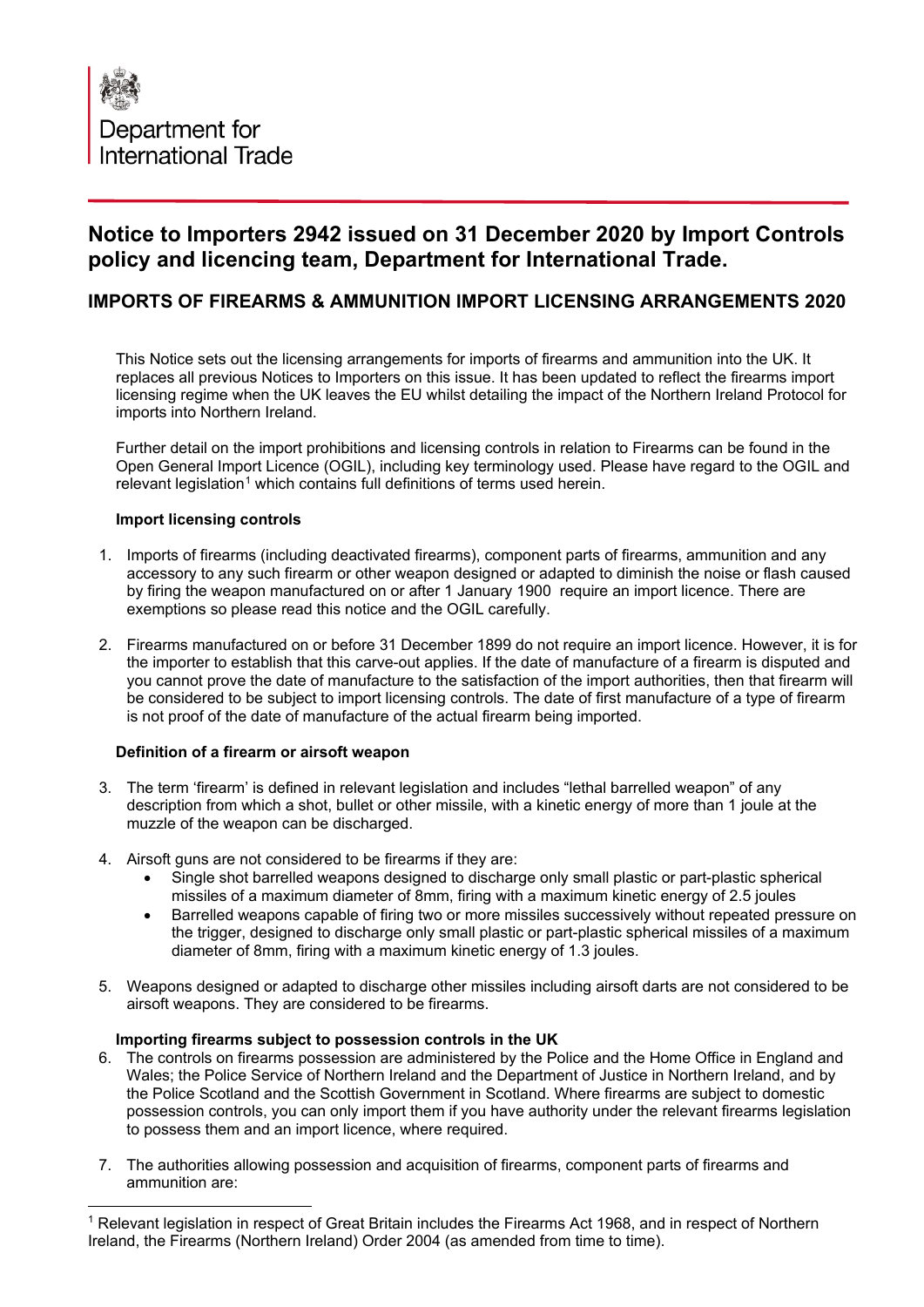

# **Notice to Importers 2942 issued on 31 December 2020 by Import Controls policy and licencing team, Department for International Trade.**

# **IMPORTS OF FIREARMS & AMMUNITION IMPORT LICENSING ARRANGEMENTS 2020**

This Notice sets out the licensing arrangements for imports of firearms and ammunition into the UK. It replaces all previous Notices to Importers on this issue. It has been updated to reflect the firearms import licensing regime when the UK leaves the EU whilst detailing the impact of the Northern Ireland Protocol for imports into Northern Ireland.

Further detail on the import prohibitions and licensing controls in relation to Firearms can be found in the Open General Import Licence (OGIL), including key terminology used. Please have regard to the OGIL and relevant legislation<sup>[1](#page-0-0)</sup> which contains full definitions of terms used herein.

## **Import licensing controls**

- 1. Imports of firearms (including deactivated firearms), component parts of firearms, ammunition and any accessory to any such firearm or other weapon designed or adapted to diminish the noise or flash caused by firing the weapon manufactured on or after 1 January 1900 require an import licence. There are exemptions so please read this notice and the OGIL carefully.
- 2. Firearms manufactured on or before 31 December 1899 do not require an import licence. However, it is for the importer to establish that this carve-out applies. If the date of manufacture of a firearm is disputed and you cannot prove the date of manufacture to the satisfaction of the import authorities, then that firearm will be considered to be subject to import licensing controls. The date of first manufacture of a type of firearm is not proof of the date of manufacture of the actual firearm being imported.

## **Definition of a firearm or airsoft weapon**

- 3. The term 'firearm' is defined in relevant legislation and includes "lethal barrelled weapon" of any description from which a shot, bullet or other missile, with a kinetic energy of more than 1 joule at the muzzle of the weapon can be discharged.
- 4. Airsoft guns are not considered to be firearms if they are:
	- Single shot barrelled weapons designed to discharge only small plastic or part-plastic spherical missiles of a maximum diameter of 8mm, firing with a maximum kinetic energy of 2.5 joules
	- Barrelled weapons capable of firing two or more missiles successively without repeated pressure on the trigger, designed to discharge only small plastic or part-plastic spherical missiles of a maximum diameter of 8mm, firing with a maximum kinetic energy of 1.3 joules.
- 5. Weapons designed or adapted to discharge other missiles including airsoft darts are not considered to be airsoft weapons. They are considered to be firearms.

#### **Importing firearms subject to possession controls in the UK**

- 6. The controls on firearms possession are administered by the Police and the Home Office in England and Wales; the Police Service of Northern Ireland and the Department of Justice in Northern Ireland, and by the Police Scotland and the Scottish Government in Scotland. Where firearms are subject to domestic possession controls, you can only import them if you have authority under the relevant firearms legislation to possess them and an import licence, where required.
- 7. The authorities allowing possession and acquisition of firearms, component parts of firearms and ammunition are:

<span id="page-0-0"></span><sup>1</sup> Relevant legislation in respect of Great Britain includes the Firearms Act 1968, and in respect of Northern Ireland, the Firearms (Northern Ireland) Order 2004 (as amended from time to time).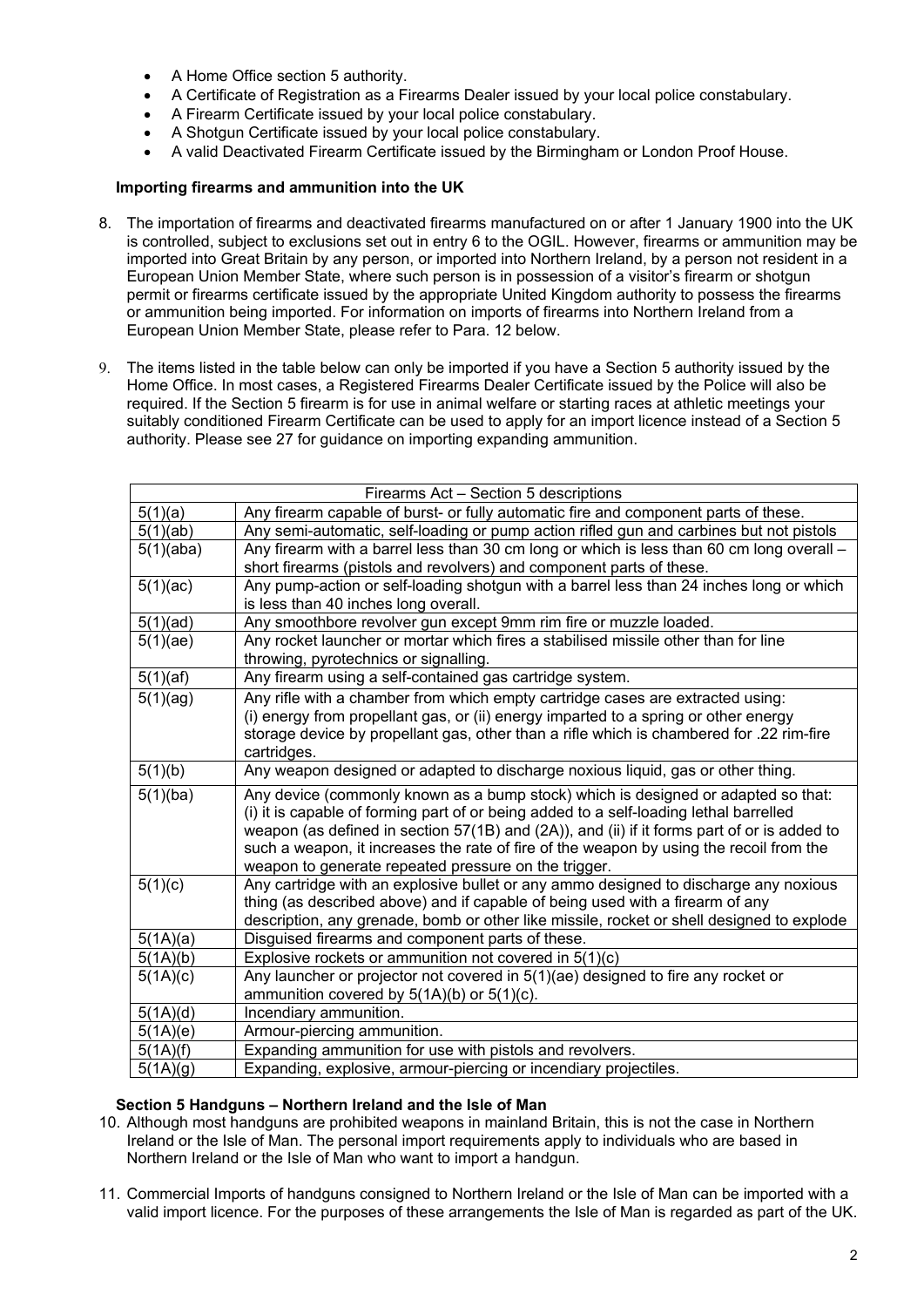- A Home Office section 5 authority.
- A Certificate of Registration as a Firearms Dealer issued by your local police constabulary.
- A Firearm Certificate issued by your local police constabulary.
- A Shotgun Certificate issued by your local police constabulary.
- A valid Deactivated Firearm Certificate issued by the Birmingham or London Proof House.

## **Importing firearms and ammunition into the UK**

- 8. The importation of firearms and deactivated firearms manufactured on or after 1 January 1900 into the UK is controlled, subject to exclusions set out in entry 6 to the OGIL. However, firearms or ammunition may be imported into Great Britain by any person, or imported into Northern Ireland, by a person not resident in a European Union Member State, where such person is in possession of a visitor's firearm or shotgun permit or firearms certificate issued by the appropriate United Kingdom authority to possess the firearms or ammunition being imported. For information on imports of firearms into Northern Ireland from a European Union Member State, please refer to Para. 12 below.
- 9. The items listed in the table below can only be imported if you have a Section 5 authority issued by the Home Office. In most cases, a Registered Firearms Dealer Certificate issued by the Police will also be required. If the Section 5 firearm is for use in animal welfare or starting races at athletic meetings your suitably conditioned Firearm Certificate can be used to apply for an import licence instead of a Section 5 authority. Please see 27 for guidance on importing expanding ammunition.

| Firearms Act - Section 5 descriptions |                                                                                                                                                                             |  |  |  |
|---------------------------------------|-----------------------------------------------------------------------------------------------------------------------------------------------------------------------------|--|--|--|
| 5(1)(a)                               | Any firearm capable of burst- or fully automatic fire and component parts of these.                                                                                         |  |  |  |
| 5(1)(ab)                              | Any semi-automatic, self-loading or pump action rifled gun and carbines but not pistols                                                                                     |  |  |  |
| 5(1)(aba)                             | Any firearm with a barrel less than 30 cm long or which is less than 60 cm long overall -                                                                                   |  |  |  |
|                                       | short firearms (pistols and revolvers) and component parts of these.                                                                                                        |  |  |  |
| 5(1)(ac)                              | Any pump-action or self-loading shotgun with a barrel less than 24 inches long or which<br>is less than 40 inches long overall.                                             |  |  |  |
| 5(1)(ad)                              | Any smoothbore revolver gun except 9mm rim fire or muzzle loaded.                                                                                                           |  |  |  |
| 5(1)(ae)                              | Any rocket launcher or mortar which fires a stabilised missile other than for line                                                                                          |  |  |  |
|                                       | throwing, pyrotechnics or signalling.                                                                                                                                       |  |  |  |
| 5(1)(af)                              | Any firearm using a self-contained gas cartridge system.                                                                                                                    |  |  |  |
| 5(1)(ag)                              | Any rifle with a chamber from which empty cartridge cases are extracted using:                                                                                              |  |  |  |
|                                       | (i) energy from propellant gas, or (ii) energy imparted to a spring or other energy                                                                                         |  |  |  |
|                                       | storage device by propellant gas, other than a rifle which is chambered for .22 rim-fire                                                                                    |  |  |  |
|                                       | cartridges.                                                                                                                                                                 |  |  |  |
| 5(1)(b)                               | Any weapon designed or adapted to discharge noxious liquid, gas or other thing.                                                                                             |  |  |  |
| 5(1)(ba)                              | Any device (commonly known as a bump stock) which is designed or adapted so that:<br>(i) it is capable of forming part of or being added to a self-loading lethal barrelled |  |  |  |
|                                       | weapon (as defined in section 57(1B) and (2A)), and (ii) if it forms part of or is added to                                                                                 |  |  |  |
|                                       | such a weapon, it increases the rate of fire of the weapon by using the recoil from the                                                                                     |  |  |  |
|                                       | weapon to generate repeated pressure on the trigger.                                                                                                                        |  |  |  |
| 5(1)(c)                               | Any cartridge with an explosive bullet or any ammo designed to discharge any noxious                                                                                        |  |  |  |
|                                       | thing (as described above) and if capable of being used with a firearm of any                                                                                               |  |  |  |
|                                       | description, any grenade, bomb or other like missile, rocket or shell designed to explode                                                                                   |  |  |  |
| 5(1A)(a)                              | Disguised firearms and component parts of these.                                                                                                                            |  |  |  |
| 5(1A)(b)                              | Explosive rockets or ammunition not covered in 5(1)(c)                                                                                                                      |  |  |  |
| 5(1A)(c)                              | Any launcher or projector not covered in 5(1)(ae) designed to fire any rocket or                                                                                            |  |  |  |
|                                       | ammunition covered by $5(1A)(b)$ or $5(1)(c)$ .                                                                                                                             |  |  |  |
| 5(1A)(d)                              | Incendiary ammunition.                                                                                                                                                      |  |  |  |
| $\overline{5(}1A)(e)$                 | Armour-piercing ammunition.                                                                                                                                                 |  |  |  |
| 5(1A)(f)                              | Expanding ammunition for use with pistols and revolvers.                                                                                                                    |  |  |  |
| 5(1A)(g)                              | Expanding, explosive, armour-piercing or incendiary projectiles.                                                                                                            |  |  |  |

## **Section 5 Handguns – Northern Ireland and the Isle of Man**

- 10. Although most handguns are prohibited weapons in mainland Britain, this is not the case in Northern Ireland or the Isle of Man. The personal import requirements apply to individuals who are based in Northern Ireland or the Isle of Man who want to import a handgun.
- 11. Commercial Imports of handguns consigned to Northern Ireland or the Isle of Man can be imported with a valid import licence. For the purposes of these arrangements the Isle of Man is regarded as part of the UK.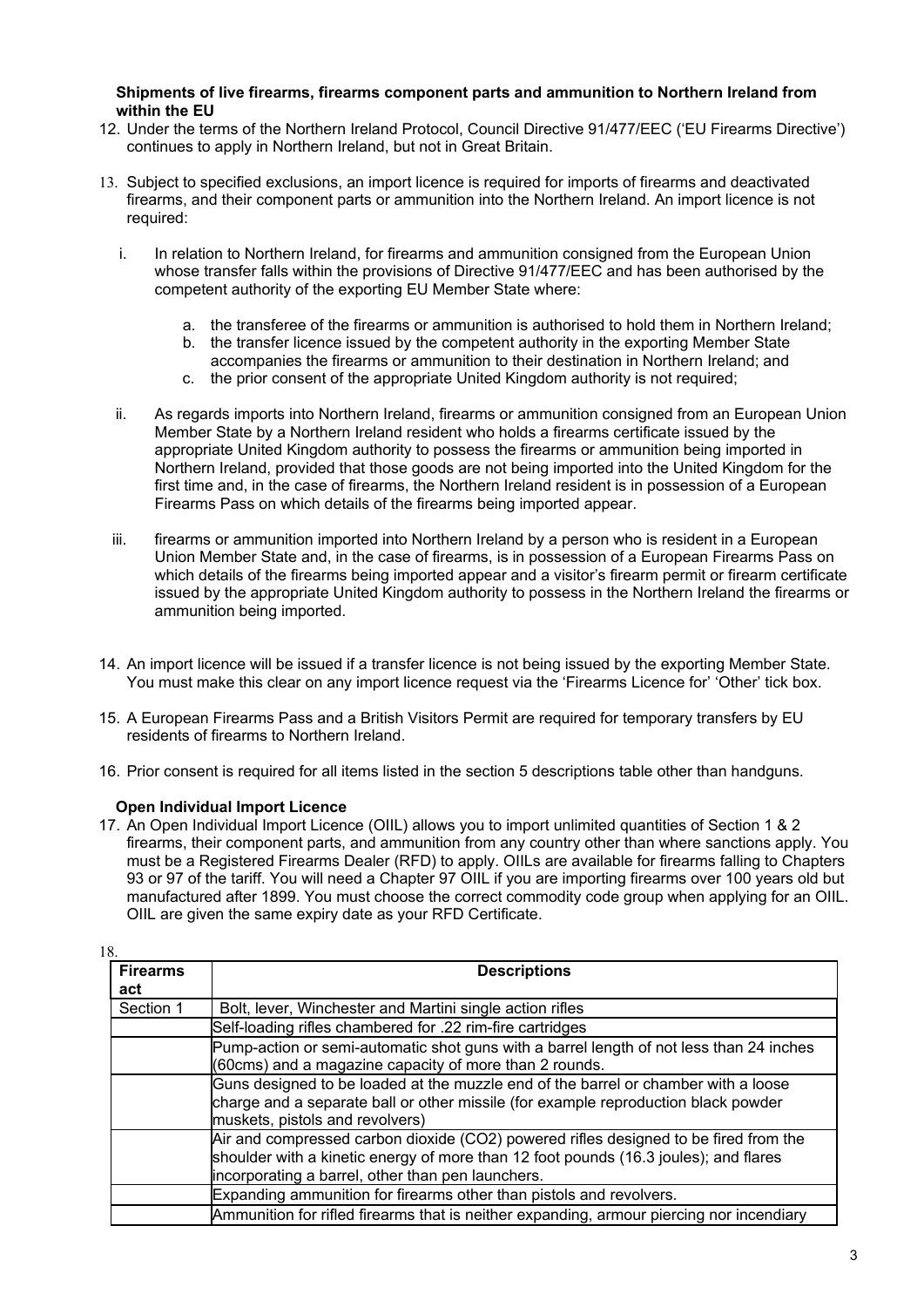#### **Shipments of live firearms, firearms component parts and ammunition to Northern Ireland from within the EU**

- 12. Under the terms of the Northern Ireland Protocol, Council Directive 91/477/EEC ('EU Firearms Directive') continues to apply in Northern Ireland, but not in Great Britain.
- 13. Subject to specified exclusions, an import licence is required for imports of firearms and deactivated firearms, and their component parts or ammunition into the Northern Ireland. An import licence is not required:
	- i. In relation to Northern Ireland, for firearms and ammunition consigned from the European Union whose transfer falls within the provisions of Directive 91/477/EEC and has been authorised by the competent authority of the exporting EU Member State where:
		- a. the transferee of the firearms or ammunition is authorised to hold them in Northern Ireland;
		- b. the transfer licence issued by the competent authority in the exporting Member State
		- accompanies the firearms or ammunition to their destination in Northern Ireland; and
		- c. the prior consent of the appropriate United Kingdom authority is not required;
	- ii. As regards imports into Northern Ireland, firearms or ammunition consigned from an European Union Member State by a Northern Ireland resident who holds a firearms certificate issued by the appropriate United Kingdom authority to possess the firearms or ammunition being imported in Northern Ireland, provided that those goods are not being imported into the United Kingdom for the first time and, in the case of firearms, the Northern Ireland resident is in possession of a European Firearms Pass on which details of the firearms being imported appear.
	- iii. firearms or ammunition imported into Northern Ireland by a person who is resident in a European Union Member State and, in the case of firearms, is in possession of a European Firearms Pass on which details of the firearms being imported appear and a visitor's firearm permit or firearm certificate issued by the appropriate United Kingdom authority to possess in the Northern Ireland the firearms or ammunition being imported.
- 14. An import licence will be issued if a transfer licence is not being issued by the exporting Member State. You must make this clear on any import licence request via the 'Firearms Licence for' 'Other' tick box.
- 15. A European Firearms Pass and a British Visitors Permit are required for temporary transfers by EU residents of firearms to Northern Ireland.
- 16. Prior consent is required for all items listed in the section 5 descriptions table other than handguns.

## **Open Individual Import Licence**

17. An Open Individual Import Licence (OIIL) allows you to import unlimited quantities of Section 1 & 2 firearms, their component parts, and ammunition from any country other than where sanctions apply. You must be a Registered Firearms Dealer (RFD) to apply. OIILs are available for firearms falling to Chapters 93 or 97 of the tariff. You will need a Chapter 97 OIIL if you are importing firearms over 100 years old but manufactured after 1899. You must choose the correct commodity code group when applying for an OIIL. OIIL are given the same expiry date as your RFD Certificate.

| 18.                    |                                                                                                                                                                                                                                   |
|------------------------|-----------------------------------------------------------------------------------------------------------------------------------------------------------------------------------------------------------------------------------|
| <b>Firearms</b><br>act | <b>Descriptions</b>                                                                                                                                                                                                               |
| Section 1              | Bolt, lever, Winchester and Martini single action rifles                                                                                                                                                                          |
|                        | Self-loading rifles chambered for .22 rim-fire cartridges                                                                                                                                                                         |
|                        | Pump-action or semi-automatic shot guns with a barrel length of not less than 24 inches<br>(60cms) and a magazine capacity of more than 2 rounds.                                                                                 |
|                        | Guns designed to be loaded at the muzzle end of the barrel or chamber with a loose<br>charge and a separate ball or other missile (for example reproduction black powder<br>muskets, pistols and revolvers)                       |
|                        | Air and compressed carbon dioxide (CO2) powered rifles designed to be fired from the<br>shoulder with a kinetic energy of more than 12 foot pounds (16.3 joules); and flares<br>incorporating a barrel, other than pen launchers. |
|                        | Expanding ammunition for firearms other than pistols and revolvers.                                                                                                                                                               |
|                        | Ammunition for rifled firearms that is neither expanding, armour piercing nor incendiary                                                                                                                                          |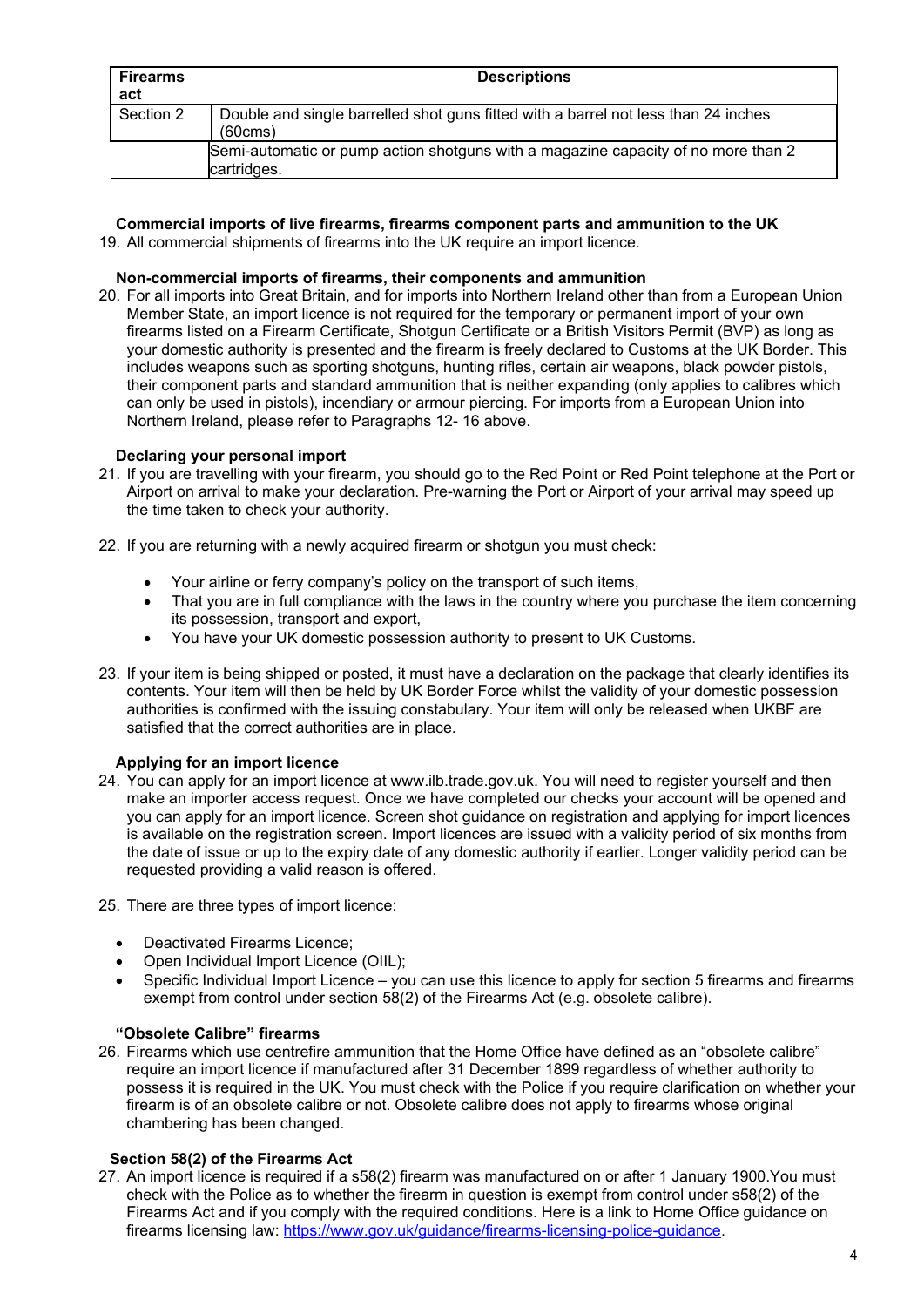| <b>Firearms</b><br>act | <b>Descriptions</b>                                                                              |
|------------------------|--------------------------------------------------------------------------------------------------|
| Section 2              | Double and single barrelled shot guns fitted with a barrel not less than 24 inches<br>(60cms)    |
|                        | Semi-automatic or pump action shotguns with a magazine capacity of no more than 2<br>cartridges. |

# **Commercial imports of live firearms, firearms component parts and ammunition to the UK**

19. All commercial shipments of firearms into the UK require an import licence.

# **Non-commercial imports of firearms, their components and ammunition**

20. For all imports into Great Britain, and for imports into Northern Ireland other than from a European Union Member State, an import licence is not required for the temporary or permanent import of your own firearms listed on a Firearm Certificate, Shotgun Certificate or a British Visitors Permit (BVP) as long as your domestic authority is presented and the firearm is freely declared to Customs at the UK Border. This includes weapons such as sporting shotguns, hunting rifles, certain air weapons, black powder pistols, their component parts and standard ammunition that is neither expanding (only applies to calibres which can only be used in pistols), incendiary or armour piercing. For imports from a European Union into Northern Ireland, please refer to Paragraphs 12- 16 above.

# **Declaring your personal import**

- 21. If you are travelling with your firearm, you should go to the Red Point or Red Point telephone at the Port or Airport on arrival to make your declaration. Pre-warning the Port or Airport of your arrival may speed up the time taken to check your authority.
- 22. If you are returning with a newly acquired firearm or shotgun you must check:
	- Your airline or ferry company's policy on the transport of such items,
	- That you are in full compliance with the laws in the country where you purchase the item concerning its possession, transport and export,
	- You have your UK domestic possession authority to present to UK Customs.
- 23. If your item is being shipped or posted, it must have a declaration on the package that clearly identifies its contents. Your item will then be held by UK Border Force whilst the validity of your domestic possession authorities is confirmed with the issuing constabulary. Your item will only be released when UKBF are satisfied that the correct authorities are in place.

## **Applying for an import licence**

- 24. You can apply for an import licence at [www.ilb.trade.gov.uk.](http://www.ilb.trade.gov.uk/) You will need to register yourself and then make an importer access request. Once we have completed our checks your account will be opened and you can apply for an import licence. Screen shot guidance on registration and applying for import licences is available on the registration screen. Import licences are issued with a validity period of six months from the date of issue or up to the expiry date of any domestic authority if earlier. Longer validity period can be requested providing a valid reason is offered.
- 25. There are three types of import licence:
	- Deactivated Firearms Licence;
	- Open Individual Import Licence (OIIL);
	- Specific Individual Import Licence you can use this licence to apply for section 5 firearms and firearms exempt from control under section 58(2) of the Firearms Act (e.g. obsolete calibre).

# **"Obsolete Calibre" firearms**

26. Firearms which use centrefire ammunition that the Home Office have defined as an "obsolete calibre" require an import licence if manufactured after 31 December 1899 regardless of whether authority to possess it is required in the UK. You must check with the Police if you require clarification on whether your firearm is of an obsolete calibre or not. Obsolete calibre does not apply to firearms whose original chambering has been changed.

# **Section 58(2) of the Firearms Act**

27. An import licence is required if a s58(2) firearm was manufactured on or after 1 January 1900.You must check with the Police as to whether the firearm in question is exempt from control under s58(2) of the Firearms Act and if you comply with the required conditions. Here is a link to Home Office guidance on firearms licensing law: [https://www.gov.uk/guidance/firearms-licensing-police-guidance.](https://www.gov.uk/guidance/firearms-licensing-police-guidance)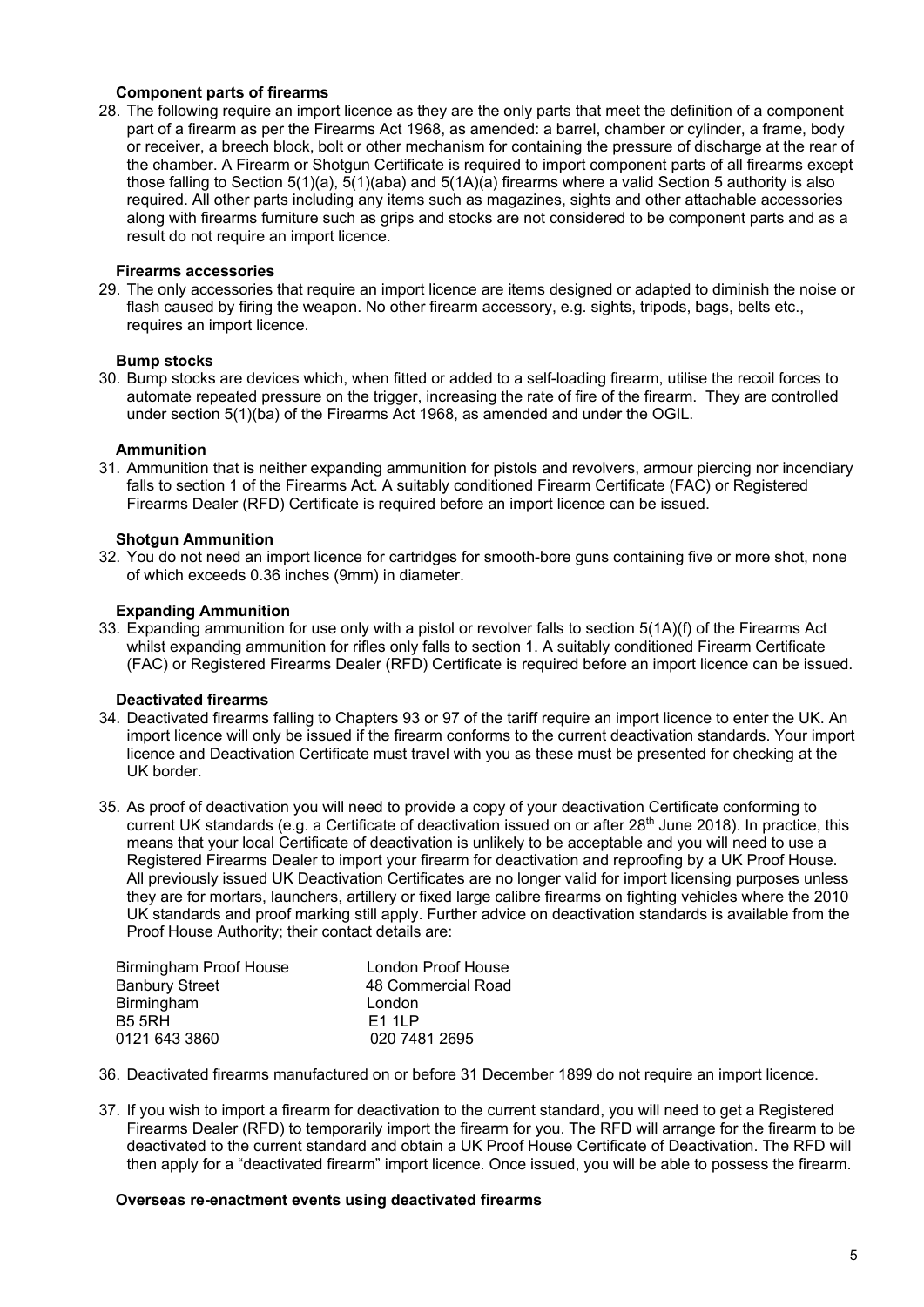## **Component parts of firearms**

28. The following require an import licence as they are the only parts that meet the definition of a component part of a firearm as per the Firearms Act 1968, as amended: a barrel, chamber or cylinder, a frame, body or receiver, a breech block, bolt or other mechanism for containing the pressure of discharge at the rear of the chamber. A Firearm or Shotgun Certificate is required to import component parts of all firearms except those falling to Section 5(1)(a), 5(1)(aba) and 5(1A)(a) firearms where a valid Section 5 authority is also required. All other parts including any items such as magazines, sights and other attachable accessories along with firearms furniture such as grips and stocks are not considered to be component parts and as a result do not require an import licence.

# **Firearms accessories**

29. The only accessories that require an import licence are items designed or adapted to diminish the noise or flash caused by firing the weapon. No other firearm accessory, e.g. sights, tripods, bags, belts etc., requires an import licence.

## **Bump stocks**

30. Bump stocks are devices which, when fitted or added to a self-loading firearm, utilise the recoil forces to automate repeated pressure on the trigger, increasing the rate of fire of the firearm. They are controlled under section 5(1)(ba) of the Firearms Act 1968, as amended and under the OGIL.

## **Ammunition**

31. Ammunition that is neither expanding ammunition for pistols and revolvers, armour piercing nor incendiary falls to section 1 of the Firearms Act. A suitably conditioned Firearm Certificate (FAC) or Registered Firearms Dealer (RFD) Certificate is required before an import licence can be issued.

#### **Shotgun Ammunition**

32. You do not need an import licence for cartridges for smooth-bore guns containing five or more shot, none of which exceeds 0.36 inches (9mm) in diameter.

#### **Expanding Ammunition**

33. Expanding ammunition for use only with a pistol or revolver falls to section 5(1A)(f) of the Firearms Act whilst expanding ammunition for rifles only falls to section 1. A suitably conditioned Firearm Certificate (FAC) or Registered Firearms Dealer (RFD) Certificate is required before an import licence can be issued.

## **Deactivated firearms**

- 34. Deactivated firearms falling to Chapters 93 or 97 of the tariff require an import licence to enter the UK. An import licence will only be issued if the firearm conforms to the current deactivation standards. Your import licence and Deactivation Certificate must travel with you as these must be presented for checking at the UK border.
- 35. As proof of deactivation you will need to provide a copy of your deactivation Certificate conforming to current UK standards (e.g. a Certificate of deactivation issued on or after 28<sup>th</sup> June 2018). In practice, this means that your local Certificate of deactivation is unlikely to be acceptable and you will need to use a Registered Firearms Dealer to import your firearm for deactivation and reproofing by a UK Proof House. All previously issued UK Deactivation Certificates are no longer valid for import licensing purposes unless they are for mortars, launchers, artillery or fixed large calibre firearms on fighting vehicles where the 2010 UK standards and proof marking still apply. Further advice on deactivation standards is available from the Proof House Authority; their contact details are:

| Birmingham Proof House | London Proof House  |
|------------------------|---------------------|
| <b>Banbury Street</b>  | 48 Commercial Road  |
| Birmingham             | London              |
| <b>B5 5RH</b>          | F <sub>1</sub> 1l P |
| 0121 643 3860          | 020 7481 2695       |

- 36. Deactivated firearms manufactured on or before 31 December 1899 do not require an import licence.
- 37. If you wish to import a firearm for deactivation to the current standard, you will need to get a Registered Firearms Dealer (RFD) to temporarily import the firearm for you. The RFD will arrange for the firearm to be deactivated to the current standard and obtain a UK Proof House Certificate of Deactivation. The RFD will then apply for a "deactivated firearm" import licence. Once issued, you will be able to possess the firearm.

#### **Overseas re-enactment events using deactivated firearms**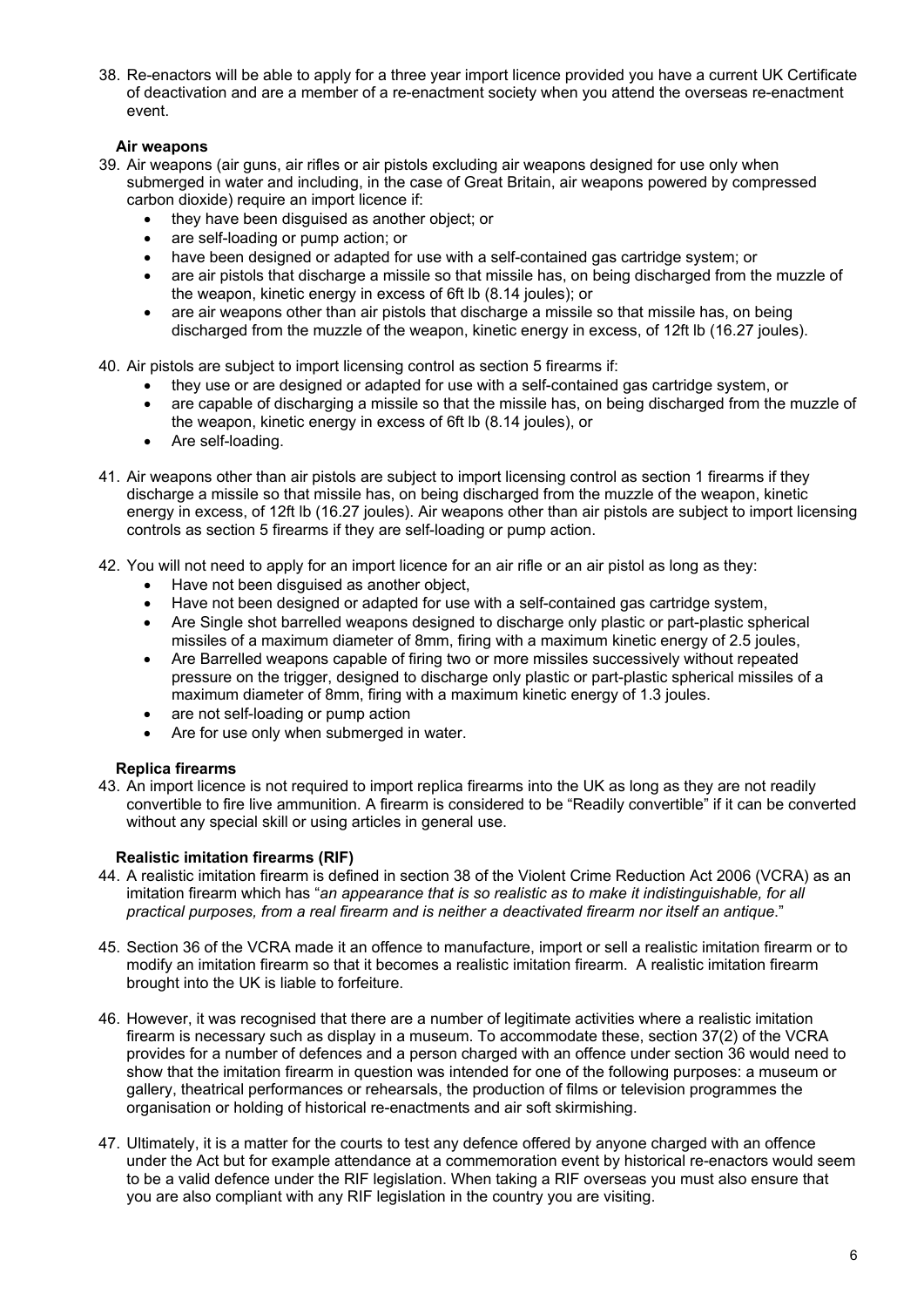38. Re-enactors will be able to apply for a three year import licence provided you have a current UK Certificate of deactivation and are a member of a re-enactment society when you attend the overseas re-enactment event.

# **Air weapons**

- 39. Air weapons (air guns, air rifles or air pistols excluding air weapons designed for use only when submerged in water and including, in the case of Great Britain, air weapons powered by compressed carbon dioxide) require an import licence if:
	- they have been disguised as another object; or
	- are self-loading or pump action; or
	- have been designed or adapted for use with a self-contained gas cartridge system; or
	- are air pistols that discharge a missile so that missile has, on being discharged from the muzzle of the weapon, kinetic energy in excess of 6ft lb (8.14 joules); or
	- are air weapons other than air pistols that discharge a missile so that missile has, on being discharged from the muzzle of the weapon, kinetic energy in excess, of 12ft lb (16.27 joules).
- 40. Air pistols are subject to import licensing control as section 5 firearms if:
	- they use or are designed or adapted for use with a self-contained gas cartridge system, or
	- are capable of discharging a missile so that the missile has, on being discharged from the muzzle of the weapon, kinetic energy in excess of 6ft lb (8.14 joules), or
	- Are self-loading.
- 41. Air weapons other than air pistols are subject to import licensing control as section 1 firearms if they discharge a missile so that missile has, on being discharged from the muzzle of the weapon, kinetic energy in excess, of 12ft lb (16.27 joules). Air weapons other than air pistols are subject to import licensing controls as section 5 firearms if they are self-loading or pump action.
- 42. You will not need to apply for an import licence for an air rifle or an air pistol as long as they:
	- Have not been disguised as another object,
	- Have not been designed or adapted for use with a self-contained gas cartridge system,
	- Are Single shot barrelled weapons designed to discharge only plastic or part-plastic spherical missiles of a maximum diameter of 8mm, firing with a maximum kinetic energy of 2.5 joules,
	- Are Barrelled weapons capable of firing two or more missiles successively without repeated pressure on the trigger, designed to discharge only plastic or part-plastic spherical missiles of a maximum diameter of 8mm, firing with a maximum kinetic energy of 1.3 joules.
	- are not self-loading or pump action
	- Are for use only when submerged in water.

## **Replica firearms**

43. An import licence is not required to import replica firearms into the UK as long as they are not readily convertible to fire live ammunition. A firearm is considered to be "Readily convertible" if it can be converted without any special skill or using articles in general use.

## **Realistic imitation firearms (RIF)**

- 44. A realistic imitation firearm is defined in section 38 of the Violent Crime Reduction Act 2006 (VCRA) as an imitation firearm which has "*an appearance that is so realistic as to make it indistinguishable, for all practical purposes, from a real firearm and is neither a deactivated firearm nor itself an antique*."
- 45. Section 36 of the VCRA made it an offence to manufacture, import or sell a realistic imitation firearm or to modify an imitation firearm so that it becomes a realistic imitation firearm. A realistic imitation firearm brought into the UK is liable to forfeiture.
- 46. However, it was recognised that there are a number of legitimate activities where a realistic imitation firearm is necessary such as display in a museum. To accommodate these, section 37(2) of the VCRA provides for a number of defences and a person charged with an offence under section 36 would need to show that the imitation firearm in question was intended for one of the following purposes: a museum or gallery, theatrical performances or rehearsals, the production of films or television programmes the organisation or holding of historical re-enactments and air soft skirmishing.
- 47. Ultimately, it is a matter for the courts to test any defence offered by anyone charged with an offence under the Act but for example attendance at a commemoration event by historical re-enactors would seem to be a valid defence under the RIF legislation. When taking a RIF overseas you must also ensure that you are also compliant with any RIF legislation in the country you are visiting.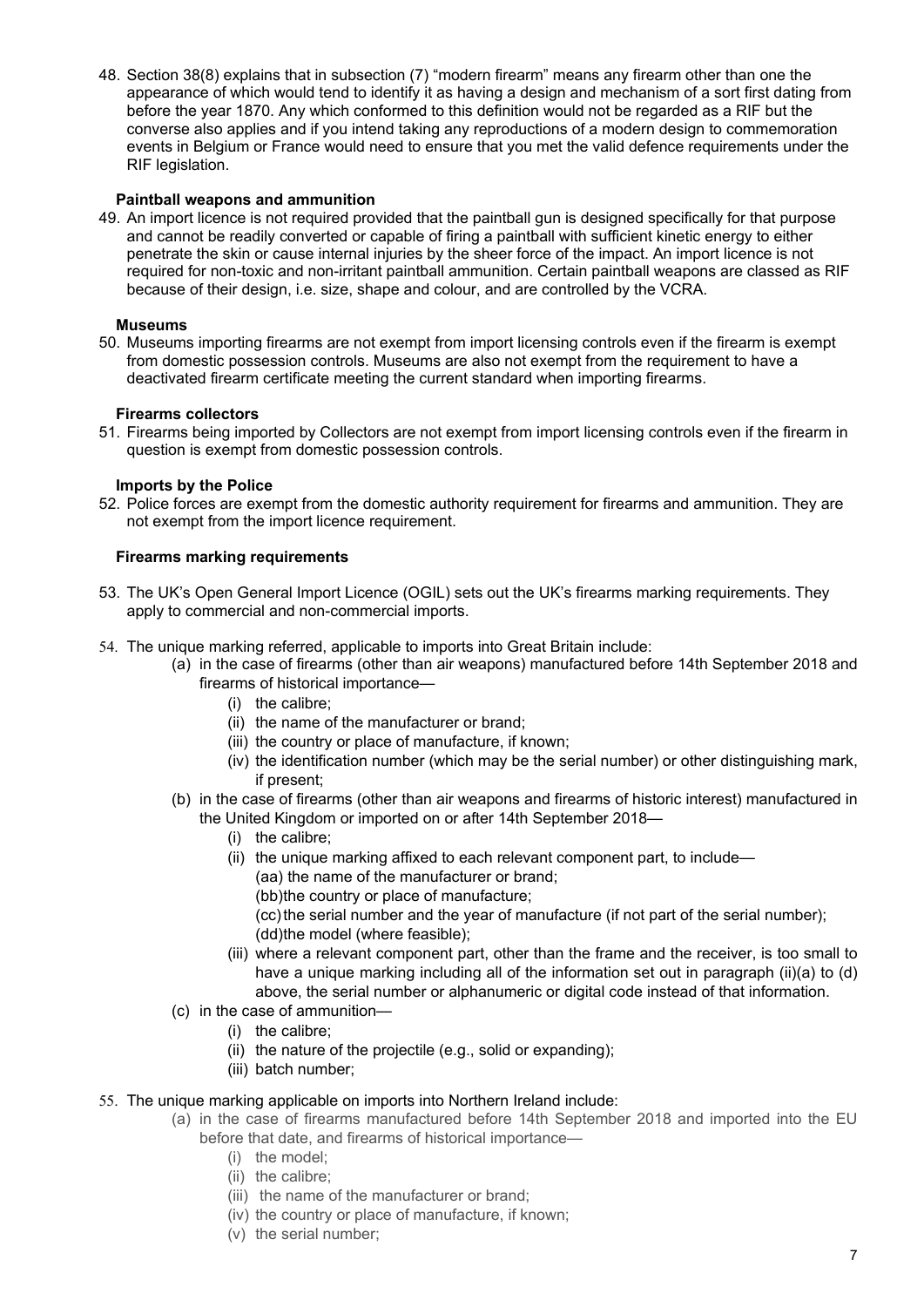48. Section 38(8) explains that in subsection (7) "modern firearm" means any firearm other than one the appearance of which would tend to identify it as having a design and mechanism of a sort first dating from before the year 1870. Any which conformed to this definition would not be regarded as a RIF but the converse also applies and if you intend taking any reproductions of a modern design to commemoration events in Belgium or France would need to ensure that you met the valid defence requirements under the RIF legislation.

## **Paintball weapons and ammunition**

49. An import licence is not required provided that the paintball gun is designed specifically for that purpose and cannot be readily converted or capable of firing a paintball with sufficient kinetic energy to either penetrate the skin or cause internal injuries by the sheer force of the impact. An import licence is not required for non-toxic and non-irritant paintball ammunition. Certain paintball weapons are classed as RIF because of their design, i.e. size, shape and colour, and are controlled by the VCRA.

#### **Museums**

50. Museums importing firearms are not exempt from import licensing controls even if the firearm is exempt from domestic possession controls. Museums are also not exempt from the requirement to have a deactivated firearm certificate meeting the current standard when importing firearms.

#### **Firearms collectors**

51. Firearms being imported by Collectors are not exempt from import licensing controls even if the firearm in question is exempt from domestic possession controls.

#### **Imports by the Police**

52. Police forces are exempt from the domestic authority requirement for firearms and ammunition. They are not exempt from the import licence requirement.

#### **Firearms marking requirements**

- 53. The UK's Open General Import Licence (OGIL) sets out the UK's firearms marking requirements. They apply to commercial and non-commercial imports.
- 54. The unique marking referred, applicable to imports into Great Britain include:
	- (a) in the case of firearms (other than air weapons) manufactured before 14th September 2018 and firearms of historical importance—
		- (i) the calibre;
		- (ii) the name of the manufacturer or brand;
		- (iii) the country or place of manufacture, if known;
		- (iv) the identification number (which may be the serial number) or other distinguishing mark, if present;
	- (b) in the case of firearms (other than air weapons and firearms of historic interest) manufactured in the United Kingdom or imported on or after 14th September 2018—
		- (i) the calibre;
		- (ii) the unique marking affixed to each relevant component part, to include—
			- (aa) the name of the manufacturer or brand;
			- (bb)the country or place of manufacture;
			- (cc) the serial number and the year of manufacture (if not part of the serial number); (dd)the model (where feasible);
		- (iii) where a relevant component part, other than the frame and the receiver, is too small to have a unique marking including all of the information set out in paragraph (ii)(a) to (d) above, the serial number or alphanumeric or digital code instead of that information.
	- (c) in the case of ammunition—
		- (i) the calibre;
		- (ii) the nature of the projectile (e.g., solid or expanding);
		- (iii) batch number:
- 55. The unique marking applicable on imports into Northern Ireland include:
	- (a) in the case of firearms manufactured before 14th September 2018 and imported into the EU
		- before that date, and firearms of historical importance—
			- (i) the model;
			- (ii) the calibre;
			- (iii) the name of the manufacturer or brand;
			- (iv) the country or place of manufacture, if known;
			- (v) the serial number;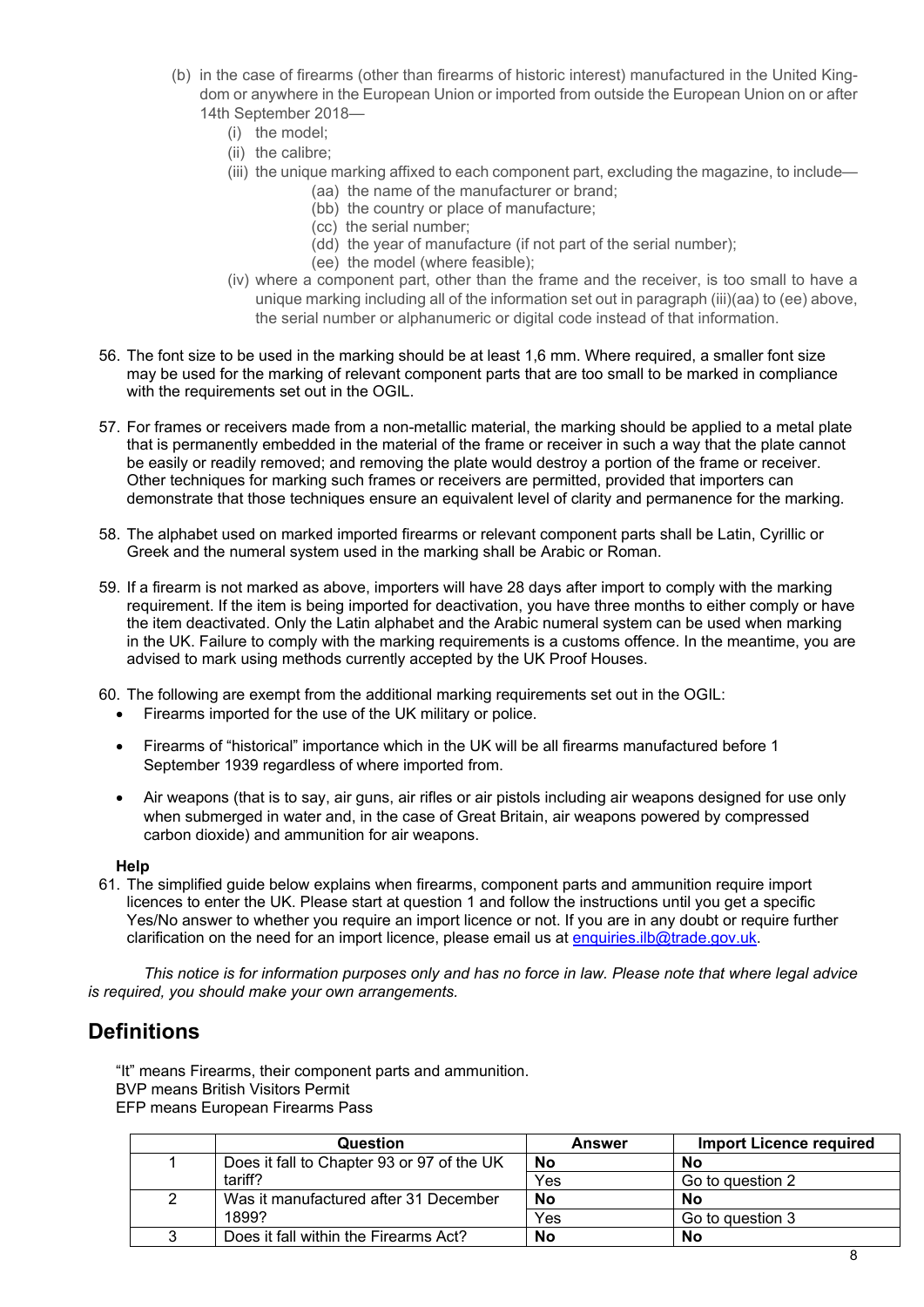- (b) in the case of firearms (other than firearms of historic interest) manufactured in the United Kingdom or anywhere in the European Union or imported from outside the European Union on or after 14th September 2018—
	- (i) the model;
	- (ii) the calibre;
	- (iii) the unique marking affixed to each component part, excluding the magazine, to include—
		- (aa) the name of the manufacturer or brand;
		- (bb) the country or place of manufacture;
		- (cc) the serial number;
		- (dd) the year of manufacture (if not part of the serial number);
		- (ee) the model (where feasible);
	- (iv) where a component part, other than the frame and the receiver, is too small to have a unique marking including all of the information set out in paragraph (iii)(aa) to (ee) above, the serial number or alphanumeric or digital code instead of that information.
- 56. The font size to be used in the marking should be at least 1,6 mm. Where required, a smaller font size may be used for the marking of relevant component parts that are too small to be marked in compliance with the requirements set out in the OGIL.
- 57. For frames or receivers made from a non-metallic material, the marking should be applied to a metal plate that is permanently embedded in the material of the frame or receiver in such a way that the plate cannot be easily or readily removed; and removing the plate would destroy a portion of the frame or receiver. Other techniques for marking such frames or receivers are permitted, provided that importers can demonstrate that those techniques ensure an equivalent level of clarity and permanence for the marking.
- 58. The alphabet used on marked imported firearms or relevant component parts shall be Latin, Cyrillic or Greek and the numeral system used in the marking shall be Arabic or Roman.
- 59. If a firearm is not marked as above, importers will have 28 days after import to comply with the marking requirement. If the item is being imported for deactivation, you have three months to either comply or have the item deactivated. Only the Latin alphabet and the Arabic numeral system can be used when marking in the UK. Failure to comply with the marking requirements is a customs offence. In the meantime, you are advised to mark using methods currently accepted by the UK Proof Houses.
- 60. The following are exempt from the additional marking requirements set out in the OGIL:
	- Firearms imported for the use of the UK military or police.
	- Firearms of "historical" importance which in the UK will be all firearms manufactured before 1 September 1939 regardless of where imported from.
	- Air weapons (that is to say, air guns, air rifles or air pistols including air weapons designed for use only when submerged in water and, in the case of Great Britain, air weapons powered by compressed carbon dioxide) and ammunition for air weapons.

#### **Help**

61. The simplified guide below explains when firearms, component parts and ammunition require import licences to enter the UK. Please start at question 1 and follow the instructions until you get a specific Yes/No answer to whether you require an import licence or not. If you are in any doubt or require further clarification on the need for an import licence, please email us at [enquiries.ilb@trade.gov.uk.](mailto:enquiries.ilb@trade.gov.uk)

*This notice is for information purposes only and has no force in law. Please note that where legal advice is required, you should make your own arrangements.*

# **Definitions**

"It" means Firearms, their component parts and ammunition.

BVP means British Visitors Permit

EFP means European Firearms Pass

| Question                                   | <b>Answer</b> | <b>Import Licence required</b> |
|--------------------------------------------|---------------|--------------------------------|
| Does it fall to Chapter 93 or 97 of the UK | No            | No                             |
| tariff?                                    | Yes           | Go to question 2               |
| Was it manufactured after 31 December      | No            | No                             |
| 1899?                                      | Yes           | Go to question 3               |
| Does it fall within the Firearms Act?      | <b>No</b>     | No                             |